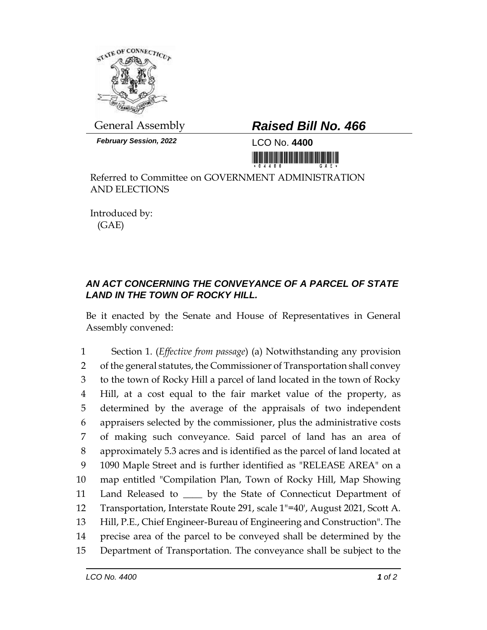

*February Session, 2022* LCO No. **4400**

## General Assembly *Raised Bill No. 466*

<u> III yıl yıl yıl yıl yıl bir bir bir bir bir bir bir y</u>

Referred to Committee on GOVERNMENT ADMINISTRATION AND ELECTIONS

Introduced by: (GAE)

## *AN ACT CONCERNING THE CONVEYANCE OF A PARCEL OF STATE LAND IN THE TOWN OF ROCKY HILL.*

Be it enacted by the Senate and House of Representatives in General Assembly convened:

 Section 1. (*Effective from passage*) (a) Notwithstanding any provision 2 of the general statutes, the Commissioner of Transportation shall convey to the town of Rocky Hill a parcel of land located in the town of Rocky Hill, at a cost equal to the fair market value of the property, as determined by the average of the appraisals of two independent appraisers selected by the commissioner, plus the administrative costs of making such conveyance. Said parcel of land has an area of approximately 5.3 acres and is identified as the parcel of land located at 1090 Maple Street and is further identified as "RELEASE AREA" on a map entitled "Compilation Plan, Town of Rocky Hill, Map Showing 11 Land Released to \_\_\_\_ by the State of Connecticut Department of Transportation, Interstate Route 291, scale 1"=40', August 2021, Scott A. Hill, P.E., Chief Engineer-Bureau of Engineering and Construction". The precise area of the parcel to be conveyed shall be determined by the Department of Transportation. The conveyance shall be subject to the